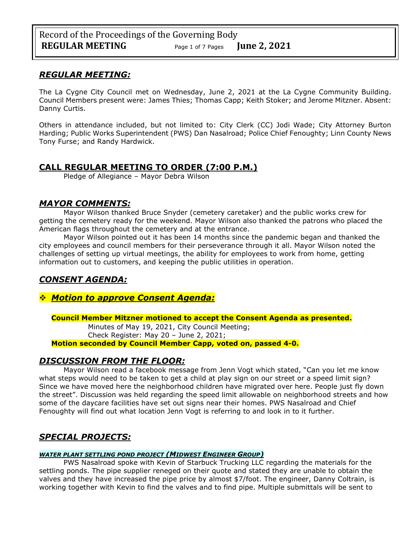# *REGULAR MEETING:*

The La Cygne City Council met on Wednesday, June 2, 2021 at the La Cygne Community Building. Council Members present were: James Thies; Thomas Capp; Keith Stoker; and Jerome Mitzner. Absent: Danny Curtis.

Others in attendance included, but not limited to: City Clerk (CC) Jodi Wade; City Attorney Burton Harding; Public Works Superintendent (PWS) Dan Nasalroad; Police Chief Fenoughty; Linn County News Tony Furse; and Randy Hardwick.

# **CALL REGULAR MEETING TO ORDER (7:00 P.M.)**

Pledge of Allegiance – Mayor Debra Wilson

# *MAYOR COMMENTS:*

Mayor Wilson thanked Bruce Snyder (cemetery caretaker) and the public works crew for getting the cemetery ready for the weekend. Mayor Wilson also thanked the patrons who placed the American flags throughout the cemetery and at the entrance.

Mayor Wilson pointed out it has been 14 months since the pandemic began and thanked the city employees and council members for their perseverance through it all. Mayor Wilson noted the challenges of setting up virtual meetings, the ability for employees to work from home, getting information out to customers, and keeping the public utilities in operation.

# *CONSENT AGENDA:*

# ❖ *Motion to approve Consent Agenda:*

## **Council Member Mitzner motioned to accept the Consent Agenda as presented.**

Minutes of May 19, 2021, City Council Meeting; Check Register: May 20 – June 2, 2021;

**Motion seconded by Council Member Capp, voted on, passed 4-0.** 

# *DISCUSSION FROM THE FLOOR:*

Mayor Wilson read a facebook message from Jenn Vogt which stated, "Can you let me know what steps would need to be taken to get a child at play sign on our street or a speed limit sign? Since we have moved here the neighborhood children have migrated over here. People just fly down the street". Discussion was held regarding the speed limit allowable on neighborhood streets and how some of the daycare facilities have set out signs near their homes. PWS Nasalroad and Chief Fenoughty will find out what location Jenn Vogt is referring to and look in to it further.

# *SPECIAL PROJECTS:*

## *WATER PLANT SETTLING POND PROJECT (MIDWEST ENGINEER GROUP)*

PWS Nasalroad spoke with Kevin of Starbuck Trucking LLC regarding the materials for the settling ponds. The pipe supplier reneged on their quote and stated they are unable to obtain the valves and they have increased the pipe price by almost \$7/foot. The engineer, Danny Coltrain, is working together with Kevin to find the valves and to find pipe. Multiple submittals will be sent to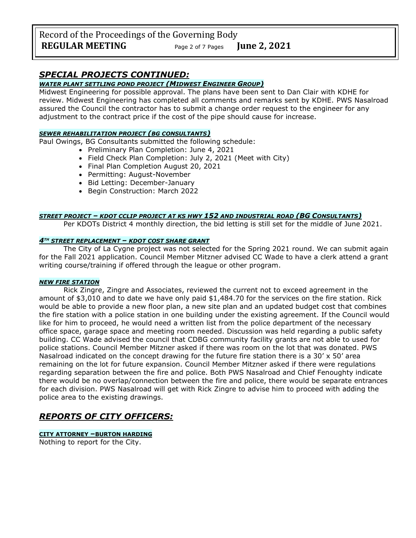Record of the Proceedings of the Governing Body **REGULAR MEETING** Page <sup>2</sup> of 7 Pages **June 2, 2021**

# *SPECIAL PROJECTS CONTINUED:*

## *WATER PLANT SETTLING POND PROJECT (MIDWEST ENGINEER GROUP)*

Midwest Engineering for possible approval. The plans have been sent to Dan Clair with KDHE for review. Midwest Engineering has completed all comments and remarks sent by KDHE. PWS Nasalroad assured the Council the contractor has to submit a change order request to the engineer for any adjustment to the contract price if the cost of the pipe should cause for increase.

### *SEWER REHABILITATION PROJECT (BG CONSULTANTS)*

Paul Owings, BG Consultants submitted the following schedule:

- Preliminary Plan Completion: June 4, 2021
- Field Check Plan Completion: July 2, 2021 (Meet with City)
- Final Plan Completion August 20, 2021
- Permitting: August-November
- Bid Letting: December-January
- Begin Construction: March 2022

### *STREET PROJECT – KDOT CCLIP PROJECT AT KS HWY 152 AND INDUSTRIAL ROAD (BG CONSULTANTS)*

Per KDOTs District 4 monthly direction, the bid letting is still set for the middle of June 2021.

### *4TH STREET REPLACEMENT – KDOT COST SHARE GRANT*

The City of La Cygne project was not selected for the Spring 2021 round. We can submit again for the Fall 2021 application. Council Member Mitzner advised CC Wade to have a clerk attend a grant writing course/training if offered through the league or other program.

### *NEW FIRE STATION*

Rick Zingre, Zingre and Associates, reviewed the current not to exceed agreement in the amount of \$3,010 and to date we have only paid \$1,484.70 for the services on the fire station. Rick would be able to provide a new floor plan, a new site plan and an updated budget cost that combines the fire station with a police station in one building under the existing agreement. If the Council would like for him to proceed, he would need a written list from the police department of the necessary office space, garage space and meeting room needed. Discussion was held regarding a public safety building. CC Wade advised the council that CDBG community facility grants are not able to used for police stations. Council Member Mitzner asked if there was room on the lot that was donated. PWS Nasalroad indicated on the concept drawing for the future fire station there is a 30'  $\times$  50' area remaining on the lot for future expansion. Council Member Mitzner asked if there were regulations regarding separation between the fire and police. Both PWS Nasalroad and Chief Fenoughty indicate there would be no overlap/connection between the fire and police, there would be separate entrances for each division. PWS Nasalroad will get with Rick Zingre to advise him to proceed with adding the police area to the existing drawings.

# *REPORTS OF CITY OFFICERS:*

### **CITY ATTORNEY –BURTON HARDING**

Nothing to report for the City.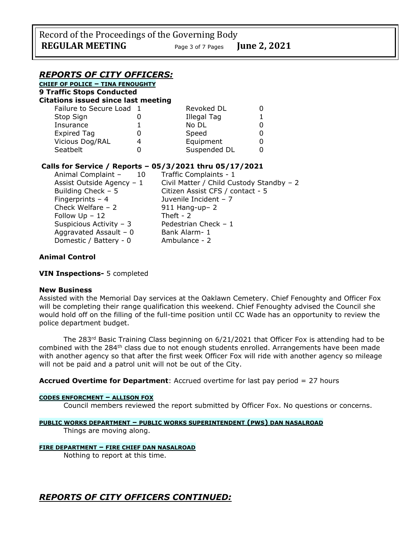# *REPORTS OF CITY OFFICERS:*

**CHIEF OF POLICE – TINA FENOUGHTY 9 Traffic Stops Conducted Citations issued since last meeting**

| Failure to Secure Load 1 | Revoked DL   |  |
|--------------------------|--------------|--|
| Stop Sign                | Illegal Tag  |  |
| Insurance                | No DL        |  |
| <b>Expired Tag</b>       | Speed        |  |
| Vicious Dog/RAL          | Equipment    |  |
| Seatbelt                 | Suspended DL |  |

# **Calls for Service / Reports – 05/3/2021 thru 05/17/2021**

| Animal Complaint -<br>10  | Traffic Complaints - 1                   |  |
|---------------------------|------------------------------------------|--|
| Assist Outside Agency - 1 | Civil Matter / Child Custody Standby - 2 |  |
| Building Check $-5$       | Citizen Assist CFS / contact - 5         |  |
| Fingerprints $-4$         | Juvenile Incident - 7                    |  |
| Check Welfare - 2         | $911$ Hang-up- 2                         |  |
| Follow Up - 12            | Theft - $2$                              |  |
| Suspicious Activity - 3   | Pedestrian Check - 1                     |  |
| Aggravated Assault - 0    | Bank Alarm-1                             |  |
| Domestic / Battery - 0    | Ambulance - 2                            |  |
|                           |                                          |  |

## **Animal Control**

**VIN Inspections-** 5 completed

## **New Business**

Assisted with the Memorial Day services at the Oaklawn Cemetery. Chief Fenoughty and Officer Fox will be completing their range qualification this weekend. Chief Fenoughty advised the Council she would hold off on the filling of the full-time position until CC Wade has an opportunity to review the police department budget.

The 283<sup>rd</sup> Basic Training Class beginning on 6/21/2021 that Officer Fox is attending had to be combined with the 284<sup>th</sup> class due to not enough students enrolled. Arrangements have been made with another agency so that after the first week Officer Fox will ride with another agency so mileage will not be paid and a patrol unit will not be out of the City.

**Accrued Overtime for Department**: Accrued overtime for last pay period = 27 hours

### **CODES ENFORCMENT – ALLISON FOX**

Council members reviewed the report submitted by Officer Fox. No questions or concerns.

## **PUBLIC WORKS DEPARTMENT – PUBLIC WORKS SUPERINTENDENT (PWS) DAN NASALROAD**

Things are moving along.

## **FIRE DEPARTMENT – FIRE CHIEF DAN NASALROAD**

Nothing to report at this time.

*REPORTS OF CITY OFFICERS CONTINUED:*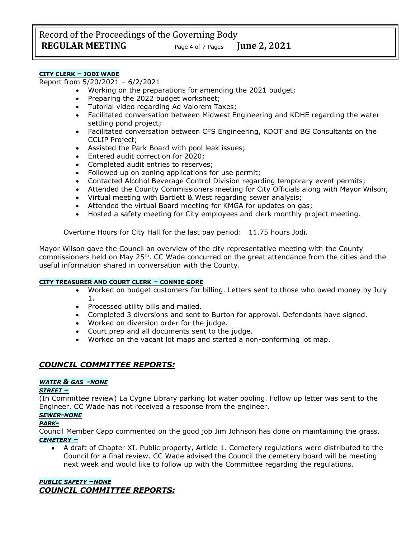### **CITY CLERK – JODI WADE**

Report from 5/20/2021 – 6/2/2021

- Working on the preparations for amending the 2021 budget;
- Preparing the 2022 budget worksheet;
- Tutorial video regarding Ad Valorem Taxes;
- Facilitated conversation between Midwest Engineering and KDHE regarding the water settling pond project;
- Facilitated conversation between CFS Engineering, KDOT and BG Consultants on the CCLIP Project;
- Assisted the Park Board with pool leak issues;
- Entered audit correction for 2020;
- Completed audit entries to reserves;
- Followed up on zoning applications for use permit;
- Contacted Alcohol Beverage Control Division regarding temporary event permits;
- Attended the County Commissioners meeting for City Officials along with Mayor Wilson;
- Virtual meeting with Bartlett & West regarding sewer analysis;
- Attended the virtual Board meeting for KMGA for updates on gas;
- Hosted a safety meeting for City employees and clerk monthly project meeting.

Overtime Hours for City Hall for the last pay period: 11.75 hours Jodi.

Mayor Wilson gave the Council an overview of the city representative meeting with the County commissioners held on May 25th. CC Wade concurred on the great attendance from the cities and the useful information shared in conversation with the County.

### **CITY TREASURER AND COURT CLERK – CONNIE GORE**

- Worked on budget customers for billing. Letters sent to those who owed money by July 1.
- Processed utility bills and mailed.
- Completed 3 diversions and sent to Burton for approval. Defendants have signed.
- Worked on diversion order for the judge.
- Court prep and all documents sent to the judge.
- Worked on the vacant lot maps and started a non-conforming lot map.

## *COUNCIL COMMITTEE REPORTS:*

### *WATER & GAS -NONE*

### *STREET –*

(In Committee review) La Cygne Library parking lot water pooling. Follow up letter was sent to the Engineer. CC Wade has not received a response from the engineer.

# *SEWER-NONE*

## *PARK-*

Council Member Capp commented on the good job Jim Johnson has done on maintaining the grass. *CEMETERY –*

• A draft of Chapter XI. Public property, Article 1. Cemetery regulations were distributed to the Council for a final review. CC Wade advised the Council the cemetery board will be meeting next week and would like to follow up with the Committee regarding the regulations.

### *PUBLIC SAFETY –NONE COUNCIL COMMITTEE REPORTS:*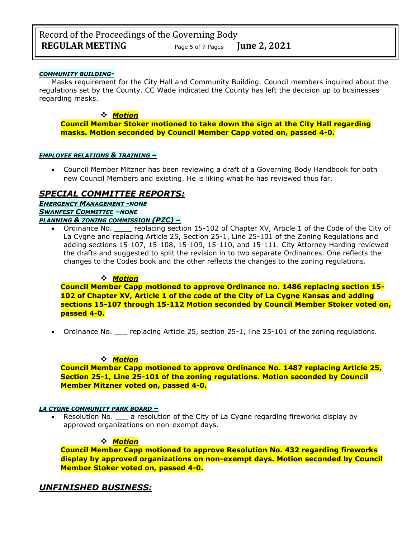### *COMMUNITY BUILDING-*

Masks requirement for the City Hall and Community Building. Council members inquired about the regulations set by the County. CC Wade indicated the County has left the decision up to businesses regarding masks.

### ❖ *Motion*

**Council Member Stoker motioned to take down the sign at the City Hall regarding masks. Motion seconded by Council Member Capp voted on, passed 4-0.**

#### *EMPLOYEE RELATIONS & TRAINING –*

• Council Member Mitzner has been reviewing a draft of a Governing Body Handbook for both new Council Members and existing. He is liking what he has reviewed thus far.

# *SPECIAL COMMITTEE REPORTS:*

*EMERGENCY MANAGEMENT -NONE SWANFEST COMMITTEE –NONE PLANNING & ZONING COMMISSION (PZC) –*

Ordinance No. epelacing section 15-102 of Chapter XV, Article 1 of the Code of the City of La Cygne and replacing Article 25, Section 25-1, Line 25-101 of the Zoning Regulations and adding sections 15-107, 15-108, 15-109, 15-110, and 15-111. City Attorney Harding reviewed the drafts and suggested to split the revision in to two separate Ordinances. One reflects the changes to the Codes book and the other reflects the changes to the zoning regulations.

## ❖ *Motion*

**Council Member Capp motioned to approve Ordinance no. 1486 replacing section 15- 102 of Chapter XV, Article 1 of the code of the City of La Cygne Kansas and adding sections 15-107 through 15-112 Motion seconded by Council Member Stoker voted on, passed 4-0.**

• Ordinance No. \_\_\_\_ replacing Article 25, section 25-1, line 25-101 of the zoning regulations.

## ❖ *Motion*

**Council Member Capp motioned to approve Ordinance No. 1487 replacing Article 25, Section 25-1, Line 25-101 of the zoning regulations. Motion seconded by Council Member Mitzner voted on, passed 4-0.**

### *LA CYGNE COMMUNITY PARK BOARD –*

• Resolution No.  $\Box$  a resolution of the City of La Cygne regarding fireworks display by approved organizations on non-exempt days.

### ❖ *Motion*

**Council Member Capp motioned to approve Resolution No. 432 regarding fireworks display by approved organizations on non-exempt days. Motion seconded by Council Member Stoker voted on, passed 4-0.**

# *UNFINISHED BUSINESS:*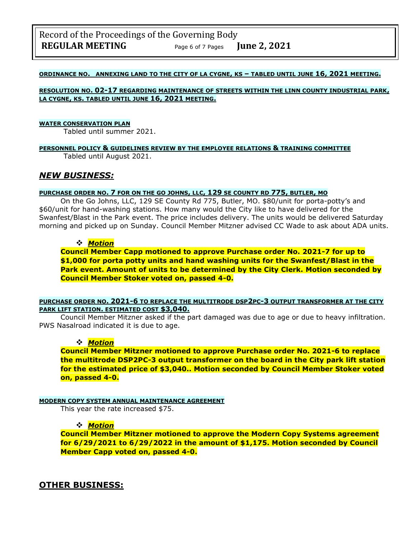### **ORDINANCE NO. ANNEXING LAND TO THE CITY OF LA CYGNE, KS – TABLED UNTIL JUNE 16, 2021 MEETING.**

### **RESOLUTION NO. 02-17 REGARDING MAINTENANCE OF STREETS WITHIN THE LINN COUNTY INDUSTRIAL PARK, LA CYGNE, KS. TABLED UNTIL JUNE 16, 2021 MEETING.**

#### **WATER CONSERVATION PLAN**

Tabled until summer 2021.

#### **PERSONNEL POLICY & GUIDELINES REVIEW BY THE EMPLOYEE RELATIONS & TRAINING COMMITTEE** Tabled until August 2021.

# *NEW BUSINESS:*

### **PURCHASE ORDER NO. 7 FOR ON THE GO JOHNS, LLC, 129 SE COUNTY RD 775, BUTLER, MO**

On the Go Johns, LLC, 129 SE County Rd 775, Butler, MO. \$80/unit for porta-potty's and \$60/unit for hand-washing stations. How many would the City like to have delivered for the Swanfest/Blast in the Park event. The price includes delivery. The units would be delivered Saturday morning and picked up on Sunday. Council Member Mitzner advised CC Wade to ask about ADA units.

### ❖ *Motion*

**Council Member Capp motioned to approve Purchase order No. 2021-7 for up to \$1,000 for porta potty units and hand washing units for the Swanfest/Blast in the Park event. Amount of units to be determined by the City Clerk. Motion seconded by Council Member Stoker voted on, passed 4-0.**

**PURCHASE ORDER NO. 2021-6 TO REPLACE THE MULTITRODE DSP2PC-3 OUTPUT TRANSFORMER AT THE CITY PARK LIFT STATION. ESTIMATED COST \$3,040.**

Council Member Mitzner asked if the part damaged was due to age or due to heavy infiltration. PWS Nasalroad indicated it is due to age.

## ❖ *Motion*

**Council Member Mitzner motioned to approve Purchase order No. 2021-6 to replace the multitrode DSP2PC-3 output transformer on the board in the City park lift station for the estimated price of \$3,040.. Motion seconded by Council Member Stoker voted on, passed 4-0.**

### **MODERN COPY SYSTEM ANNUAL MAINTENANCE AGREEMENT**

This year the rate increased \$75.

### ❖ *Motion*

**Council Member Mitzner motioned to approve the Modern Copy Systems agreement for 6/29/2021 to 6/29/2022 in the amount of \$1,175. Motion seconded by Council Member Capp voted on, passed 4-0.**

# **OTHER BUSINESS:**